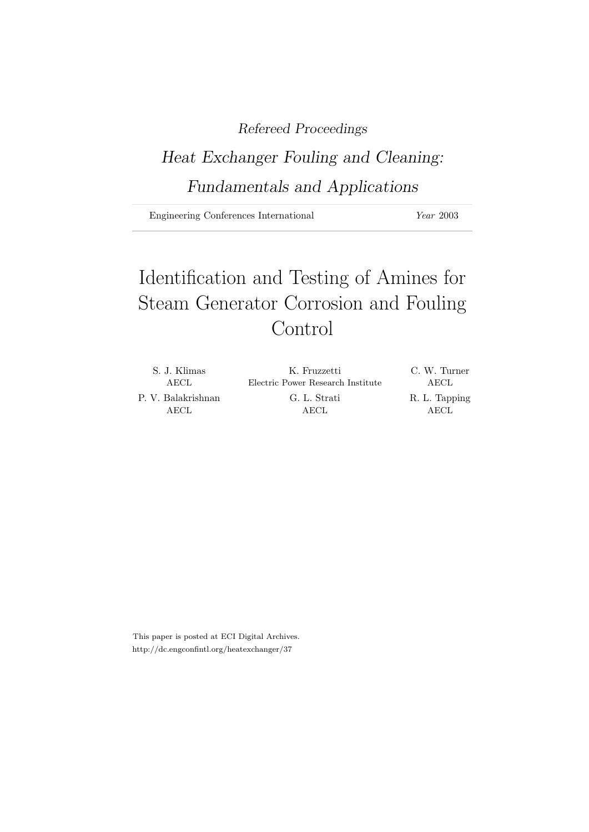### Refereed Proceedings

# Heat Exchanger Fouling and Cleaning: Fundamentals and Applications

Engineering Conferences International Year 2003

# Identification and Testing of Amines for Steam Generator Corrosion and Fouling Control

| S. J. Klimas               | K. Fruzzetti                      | C. W. Turner            |
|----------------------------|-----------------------------------|-------------------------|
| AECL.                      | Electric Power Research Institute | AECL                    |
| P. V. Balakrishnan<br>AECL | G. L. Strati<br>AECL              | R. L. Tapping<br>A ECI. |

This paper is posted at ECI Digital Archives. http://dc.engconfintl.org/heatexchanger/37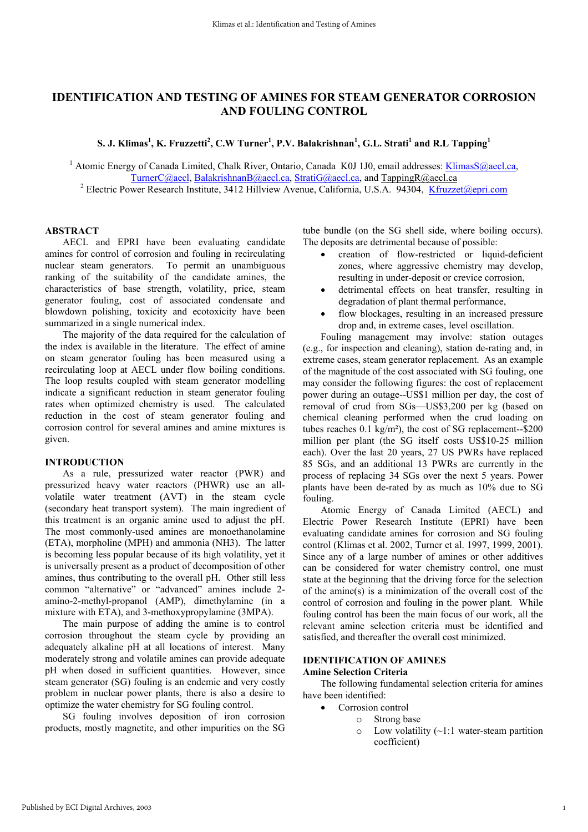### **IDENTIFICATION AND TESTING OF AMINES FOR STEAM GENERATOR CORROSION AND FOULING CONTROL**

 $\mathbf{S}\text{. J. Klimas}^1, \text{K. Fruzzetti}^2, \text{C.W Turner}^1, \text{P.V. Balakrishnan}^1, \text{G.L. Strati}^1 \text{ and R.L Tapping}^1$ 

<sup>1</sup> Atomic Energy of Canada Limited, Chalk River, Ontario, Canada K0J 1J0, email addresses: *KlimasS@aecl.ca*, TurnerC@aecl, BalakrishnanB@aecl.ca, StratiG@aecl.ca, and TappingR@aecl.ca

<sup>2</sup> Electric Power Research Institute, 3412 Hillview Avenue, California, U.S.A. 94304, *Kfruzzet@epri.com* 

#### **ABSTRACT**

AECL and EPRI have been evaluating candidate amines for control of corrosion and fouling in recirculating nuclear steam generators. To permit an unambiguous ranking of the suitability of the candidate amines, the characteristics of base strength, volatility, price, steam generator fouling, cost of associated condensate and blowdown polishing, toxicity and ecotoxicity have been summarized in a single numerical index.

The majority of the data required for the calculation of the index is available in the literature. The effect of amine on steam generator fouling has been measured using a recirculating loop at AECL under flow boiling conditions. The loop results coupled with steam generator modelling indicate a significant reduction in steam generator fouling rates when optimized chemistry is used. The calculated reduction in the cost of steam generator fouling and corrosion control for several amines and amine mixtures is given.

#### **INTRODUCTION**

As a rule, pressurized water reactor (PWR) and pressurized heavy water reactors (PHWR) use an allvolatile water treatment (AVT) in the steam cycle (secondary heat transport system). The main ingredient of this treatment is an organic amine used to adjust the pH. The most commonly-used amines are monoethanolamine (ETA), morpholine (MPH) and ammonia (NH3). The latter is becoming less popular because of its high volatility, yet it is universally present as a product of decomposition of other amines, thus contributing to the overall pH. Other still less common "alternative" or "advanced" amines include 2 amino-2-methyl-propanol (AMP), dimethylamine (in a mixture with ETA), and 3-methoxypropylamine (3MPA).

The main purpose of adding the amine is to control corrosion throughout the steam cycle by providing an adequately alkaline pH at all locations of interest. Many moderately strong and volatile amines can provide adequate pH when dosed in sufficient quantities. However, since steam generator (SG) fouling is an endemic and very costly problem in nuclear power plants, there is also a desire to optimize the water chemistry for SG fouling control.

SG fouling involves deposition of iron corrosion products, mostly magnetite, and other impurities on the SG tube bundle (on the SG shell side, where boiling occurs). The deposits are detrimental because of possible:

- creation of flow-restricted or liquid-deficient zones, where aggressive chemistry may develop, resulting in under-deposit or crevice corrosion,
- detrimental effects on heat transfer, resulting in degradation of plant thermal performance,
- flow blockages, resulting in an increased pressure drop and, in extreme cases, level oscillation.

Fouling management may involve: station outages (e.g., for inspection and cleaning), station de-rating and, in extreme cases, steam generator replacement. As an example of the magnitude of the cost associated with SG fouling, one may consider the following figures: the cost of replacement power during an outage--US\$1 million per day, the cost of removal of crud from SGs—US\$3,200 per kg (based on chemical cleaning performed when the crud loading on tubes reaches 0.1 kg/m²), the cost of SG replacement--\$200 million per plant (the SG itself costs US\$10-25 million each). Over the last 20 years, 27 US PWRs have replaced 85 SGs, and an additional 13 PWRs are currently in the process of replacing 34 SGs over the next 5 years. Power plants have been de-rated by as much as 10% due to SG fouling.

Atomic Energy of Canada Limited (AECL) and Electric Power Research Institute (EPRI) have been evaluating candidate amines for corrosion and SG fouling control (Klimas et al. 2002, Turner et al. 1997, 1999, 2001). Since any of a large number of amines or other additives can be considered for water chemistry control, one must state at the beginning that the driving force for the selection of the amine(s) is a minimization of the overall cost of the control of corrosion and fouling in the power plant. While fouling control has been the main focus of our work, all the relevant amine selection criteria must be identified and satisfied, and thereafter the overall cost minimized.

#### **IDENTIFICATION OF AMINES**

#### **Amine Selection Criteria**

The following fundamental selection criteria for amines have been identified:

- Corrosion control
	- o Strong base
	- $\circ$  Low volatility (~1:1 water-steam partition coefficient)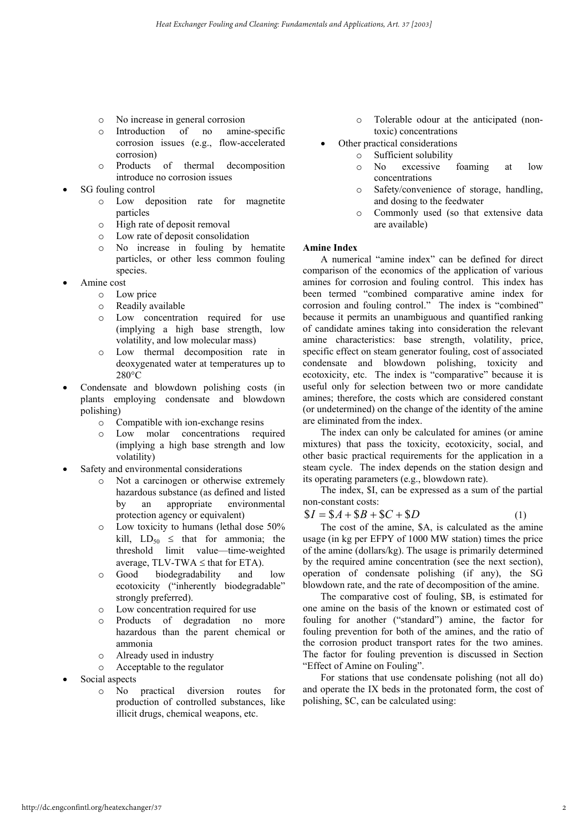- o No increase in general corrosion
- o Introduction of no amine-specific corrosion issues (e.g., flow-accelerated corrosion)
- o Products of thermal decomposition introduce no corrosion issues
- SG fouling control
	- o Low deposition rate for magnetite particles
	- o High rate of deposit removal
	- o Low rate of deposit consolidation
	- o No increase in fouling by hematite particles, or other less common fouling species.
- Amine cost
	- o Low price
	- o Readily available
	- o Low concentration required for use (implying a high base strength, low volatility, and low molecular mass)
	- o Low thermal decomposition rate in deoxygenated water at temperatures up to 280°C
- Condensate and blowdown polishing costs (in plants employing condensate and blowdown polishing)
	- o Compatible with ion-exchange resins
	- o Low molar concentrations required (implying a high base strength and low volatility)
- Safety and environmental considerations
	- o Not a carcinogen or otherwise extremely hazardous substance (as defined and listed by an appropriate environmental protection agency or equivalent)
	- o Low toxicity to humans (lethal dose 50% kill,  $LD_{50} \leq$  that for ammonia; the threshold limit value—time-weighted average,  $TLV-TWA \leq that$  for  $ETA$ ).
	- o Good biodegradability and low ecotoxicity ("inherently biodegradable" strongly preferred).
	- o Low concentration required for use
	- o Products of degradation no more hazardous than the parent chemical or ammonia
	- o Already used in industry
	- o Acceptable to the regulator
- Social aspects
	- o No practical diversion routes for production of controlled substances, like illicit drugs, chemical weapons, etc.
- o Tolerable odour at the anticipated (nontoxic) concentrations
- Other practical considerations
	- o Sufficient solubility
	- o No excessive foaming at low concentrations
	- o Safety/convenience of storage, handling, and dosing to the feedwater
	- o Commonly used (so that extensive data are available)

#### **Amine Index**

A numerical "amine index" can be defined for direct comparison of the economics of the application of various amines for corrosion and fouling control. This index has been termed "combined comparative amine index for corrosion and fouling control." The index is "combined" because it permits an unambiguous and quantified ranking of candidate amines taking into consideration the relevant amine characteristics: base strength, volatility, price, specific effect on steam generator fouling, cost of associated condensate and blowdown polishing, toxicity and ecotoxicity, etc. The index is "comparative" because it is useful only for selection between two or more candidate amines; therefore, the costs which are considered constant (or undetermined) on the change of the identity of the amine are eliminated from the index.

The index can only be calculated for amines (or amine mixtures) that pass the toxicity, ecotoxicity, social, and other basic practical requirements for the application in a steam cycle. The index depends on the station design and its operating parameters (e.g., blowdown rate).

The index, \$I, can be expressed as a sum of the partial non-constant costs:

$$
I = S A + S B + S C + S D \tag{1}
$$

The cost of the amine, \$A, is calculated as the amine usage (in kg per EFPY of 1000 MW station) times the price of the amine (dollars/kg). The usage is primarily determined by the required amine concentration (see the next section), operation of condensate polishing (if any), the SG blowdown rate, and the rate of decomposition of the amine.

The comparative cost of fouling, \$B, is estimated for one amine on the basis of the known or estimated cost of fouling for another ("standard") amine, the factor for fouling prevention for both of the amines, and the ratio of the corrosion product transport rates for the two amines. The factor for fouling prevention is discussed in Section "Effect of Amine on Fouling".

For stations that use condensate polishing (not all do) and operate the IX beds in the protonated form, the cost of polishing, \$C, can be calculated using: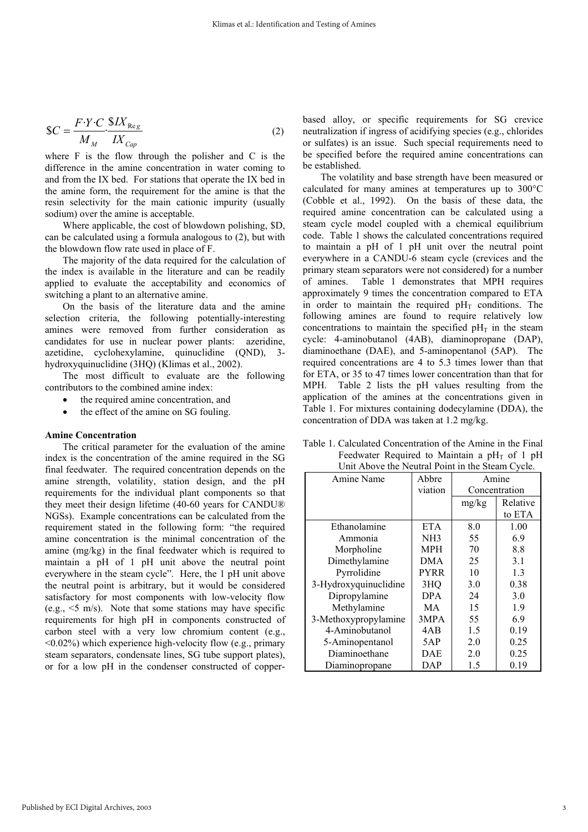$$
SC = \frac{F \cdot Y \cdot C}{M_M} \cdot \frac{\$IX_{Reg}}{IX_{Cap}} \tag{2}
$$

where F is the flow through the polisher and C is the difference in the amine concentration in water coming to and from the IX bed. For stations that operate the IX bed in the amine form, the requirement for the amine is that the resin selectivity for the main cationic impurity (usually sodium) over the amine is acceptable.

Where applicable, the cost of blowdown polishing, \$D, can be calculated using a formula analogous to (2), but with the blowdown flow rate used in place of F.

The majority of the data required for the calculation of the index is available in the literature and can be readily applied to evaluate the acceptability and economics of switching a plant to an alternative amine.

On the basis of the literature data and the amine selection criteria, the following potentially-interesting amines were removed from further consideration as candidates for use in nuclear power plants: azeridine, azetidine, cyclohexylamine, quinuclidine (QND), 3 hydroxyquinuclidine (3HQ) (Klimas et al., 2002).

The most difficult to evaluate are the following contributors to the combined amine index:

- the required amine concentration, and
- the effect of the amine on SG fouling.

#### **Amine Concentration**

The critical parameter for the evaluation of the amine index is the concentration of the amine required in the SG final feedwater. The required concentration depends on the amine strength, volatility, station design, and the pH requirements for the individual plant components so that they meet their design lifetime (40-60 years for CANDU® NGSs). Example concentrations can be calculated from the requirement stated in the following form: "the required amine concentration is the minimal concentration of the amine (mg/kg) in the final feedwater which is required to maintain a pH of 1 pH unit above the neutral point everywhere in the steam cycle". Here, the 1 pH unit above the neutral point is arbitrary, but it would be considered satisfactory for most components with low-velocity flow (e.g.,  $\leq$  m/s). Note that some stations may have specific requirements for high pH in components constructed of carbon steel with a very low chromium content (e.g.,  $\leq 0.02\%$ ) which experience high-velocity flow (e.g., primary steam separators, condensate lines, SG tube support plates), or for a low pH in the condenser constructed of copperbased alloy, or specific requirements for SG crevice neutralization if ingress of acidifying species (e.g., chlorides or sulfates) is an issue. Such special requirements need to be specified before the required amine concentrations can be established.

The volatility and base strength have been measured or calculated for many amines at temperatures up to 300°C (Cobble et al., 1992). On the basis of these data, the required amine concentration can be calculated using a steam cycle model coupled with a chemical equilibrium code. Table 1 shows the calculated concentrations required to maintain a pH of 1 pH unit over the neutral point everywhere in a CANDU-6 steam cycle (crevices and the primary steam separators were not considered) for a number of amines. Table 1 demonstrates that MPH requires approximately 9 times the concentration compared to ETA in order to maintain the required  $pH<sub>T</sub>$  conditions. The following amines are found to require relatively low concentrations to maintain the specified  $pH<sub>T</sub>$  in the steam cycle: 4-aminobutanol (4AB), diaminopropane (DAP), diaminoethane (DAE), and 5-aminopentanol (5AP). The required concentrations are 4 to 5.3 times lower than that for ETA, or 35 to 47 times lower concentration than that for MPH. Table 2 lists the pH values resulting from the application of the amines at the concentrations given in Table 1. For mixtures containing dodecylamine (DDA), the concentration of DDA was taken at 1.2 mg/kg.

| Onit Above the Neutral Point in the Steam Cycle. |                 |               |          |  |  |  |
|--------------------------------------------------|-----------------|---------------|----------|--|--|--|
| Amine Name                                       | Abbre           | Amine         |          |  |  |  |
|                                                  | viation         | Concentration |          |  |  |  |
|                                                  |                 | mg/kg         | Relative |  |  |  |
|                                                  |                 |               | to ETA   |  |  |  |
| Ethanolamine                                     | <b>ETA</b>      | 8.0           | 1.00     |  |  |  |
| Ammonia                                          | NH <sub>3</sub> | 55            | 6.9      |  |  |  |
| Morpholine                                       | <b>MPH</b>      | 70            | 8.8      |  |  |  |
| Dimethylamine                                    | DMA             | 25            | 3.1      |  |  |  |
| Pyrrolidine                                      | <b>PYRR</b>     | 10            | 1.3      |  |  |  |
| 3-Hydroxyquinuclidine                            | 3HQ             | 3.0           | 0.38     |  |  |  |
| Dipropylamine                                    | <b>DPA</b>      | 24            | 3.0      |  |  |  |
| Methylamine                                      | MA              | 15            | 1.9      |  |  |  |
| 3-Methoxypropylamine                             | 3MPA            | 55            | 6.9      |  |  |  |
| 4-Aminobutanol                                   | 4AB             | 1.5           | 0.19     |  |  |  |
| 5-Aminopentanol                                  | 5AP             | 2.0           | 0.25     |  |  |  |
| Diaminoethane                                    | DAE             | 2.0           | 0.25     |  |  |  |
| Diaminopropane                                   | DAP             | 1.5           | 0.19     |  |  |  |

Table 1. Calculated Concentration of the Amine in the Final Feedwater Required to Maintain a  $pH<sub>T</sub>$  of 1 pH Unit Above the Neutral Point in the Steam Cycle.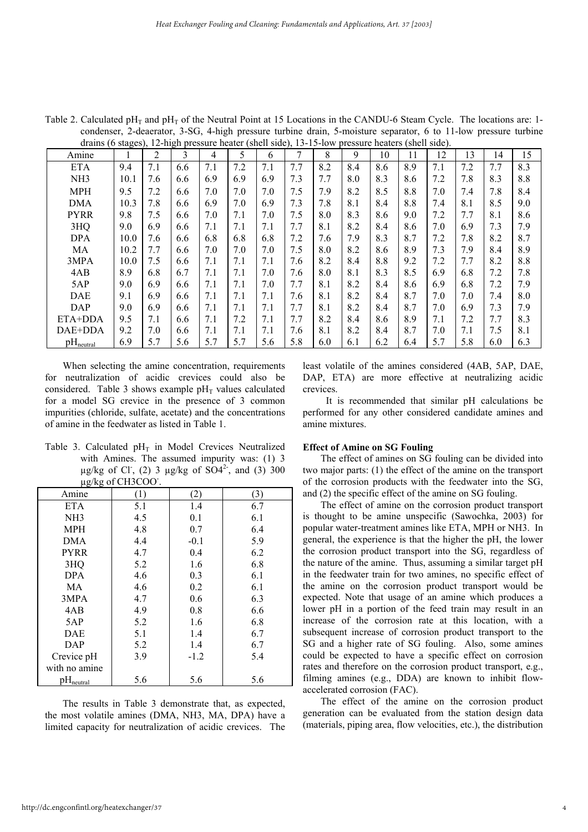| Amine                 |      | 2   | 3   | 4   | 5   | 6   | 7   | 8   | 9   | 10  | 11  | 12  | 13  | 14  | 15  |
|-----------------------|------|-----|-----|-----|-----|-----|-----|-----|-----|-----|-----|-----|-----|-----|-----|
| <b>ETA</b>            | 9.4  | 7.1 | 6.6 | 7.1 | 7.2 | 7.1 | 7.7 | 8.2 | 8.4 | 8.6 | 8.9 | 7.1 | 7.2 | 7.7 | 8.3 |
| NH <sub>3</sub>       | 10.1 | 7.6 | 6.6 | 6.9 | 6.9 | 6.9 | 7.3 | 7.7 | 8.0 | 8.3 | 8.6 | 7.2 | 7.8 | 8.3 | 8.8 |
| <b>MPH</b>            | 9.5  | 7.2 | 6.6 | 7.0 | 7.0 | 7.0 | 7.5 | 7.9 | 8.2 | 8.5 | 8.8 | 7.0 | 7.4 | 7.8 | 8.4 |
| <b>DMA</b>            | 10.3 | 7.8 | 6.6 | 6.9 | 7.0 | 6.9 | 7.3 | 7.8 | 8.1 | 8.4 | 8.8 | 7.4 | 8.1 | 8.5 | 9.0 |
| <b>PYRR</b>           | 9.8  | 7.5 | 6.6 | 7.0 | 7.1 | 7.0 | 7.5 | 8.0 | 8.3 | 8.6 | 9.0 | 7.2 | 7.7 | 8.1 | 8.6 |
| 3HQ                   | 9.0  | 6.9 | 6.6 | 7.1 | 7.1 | 7.1 | 7.7 | 8.1 | 8.2 | 8.4 | 8.6 | 7.0 | 6.9 | 7.3 | 7.9 |
| <b>DPA</b>            | 10.0 | 7.6 | 6.6 | 6.8 | 6.8 | 6.8 | 7.2 | 7.6 | 7.9 | 8.3 | 8.7 | 7.2 | 7.8 | 8.2 | 8.7 |
| МA                    | 10.2 | 7.7 | 6.6 | 7.0 | 7.0 | 7.0 | 7.5 | 8.0 | 8.2 | 8.6 | 8.9 | 7.3 | 7.9 | 8.4 | 8.9 |
| 3MPA                  | 10.0 | 7.5 | 6.6 | 7.1 | 7.1 | 7.1 | 7.6 | 8.2 | 8.4 | 8.8 | 9.2 | 7.2 | 7.7 | 8.2 | 8.8 |
| 4AB                   | 8.9  | 6.8 | 6.7 | 7.1 | 7.1 | 7.0 | 7.6 | 8.0 | 8.1 | 8.3 | 8.5 | 6.9 | 6.8 | 7.2 | 7.8 |
| 5AP                   | 9.0  | 6.9 | 6.6 | 7.1 | 7.1 | 7.0 | 7.7 | 8.1 | 8.2 | 8.4 | 8.6 | 6.9 | 6.8 | 7.2 | 7.9 |
| <b>DAE</b>            | 9.1  | 6.9 | 6.6 | 7.1 | 7.1 | 7.1 | 7.6 | 8.1 | 8.2 | 8.4 | 8.7 | 7.0 | 7.0 | 7.4 | 8.0 |
| DAP                   | 9.0  | 6.9 | 6.6 | 7.1 | 7.1 | 7.1 | 7.7 | 8.1 | 8.2 | 8.4 | 8.7 | 7.0 | 6.9 | 7.3 | 7.9 |
| ETA+DDA               | 9.5  | 7.1 | 6.6 | 7.1 | 7.2 | 7.1 | 7.7 | 8.2 | 8.4 | 8.6 | 8.9 | 7.1 | 7.2 | 7.7 | 8.3 |
| DAE+DDA               | 9.2  | 7.0 | 6.6 | 7.1 | 7.1 | 7.1 | 7.6 | 8.1 | 8.2 | 8.4 | 8.7 | 7.0 | 7.1 | 7.5 | 8.1 |
| $pH_{\text{neutral}}$ | 6.9  | 5.7 | 5.6 | 5.7 | 5.7 | 5.6 | 5.8 | 6.0 | 6.1 | 6.2 | 6.4 | 5.7 | 5.8 | 6.0 | 6.3 |

Table 2. Calculated pH<sub>T</sub> and pH<sub>T</sub> of the Neutral Point at 15 Locations in the CANDU-6 Steam Cycle. The locations are: 1condenser, 2-deaerator, 3-SG, 4-high pressure turbine drain, 5-moisture separator, 6 to 11-low pressure turbine drains (6 stages), 12-high pressure heater (shell side), 13-15-low pressure heaters (shell side).

When selecting the amine concentration, requirements for neutralization of acidic crevices could also be considered. Table 3 shows example  $pH<sub>T</sub>$  values calculated for a model SG crevice in the presence of 3 common impurities (chloride, sulfate, acetate) and the concentrations of amine in the feedwater as listed in Table 1.

Table 3. Calculated  $pH_T$  in Model Crevices Neutralized with Amines. The assumed impurity was: (1) 3  $\mu$ g/kg of Cl<sup>-</sup>, (2) 3  $\mu$ g/kg of SO4<sup>2-</sup>, and (3) 300 µg/kg of CH3COO- .

| Amine           | (1) | (2)    | (3) |
|-----------------|-----|--------|-----|
| <b>ETA</b>      | 5.1 | 1.4    | 6.7 |
| NH <sub>3</sub> | 4.5 | 0.1    | 6.1 |
| <b>MPH</b>      | 4.8 | 0.7    | 6.4 |
| <b>DMA</b>      | 4.4 | $-0.1$ | 5.9 |
| <b>PYRR</b>     | 4.7 | 0.4    | 6.2 |
| 3HQ             | 5.2 | 1.6    | 6.8 |
| <b>DPA</b>      | 4.6 | 0.3    | 6.1 |
| МA              | 4.6 | 0.2    | 6.1 |
| 3MPA            | 4.7 | 0.6    | 6.3 |
| 4AB             | 4.9 | 0.8    | 6.6 |
| 5AP             | 5.2 | 1.6    | 6.8 |
| DAE             | 5.1 | 1.4    | 6.7 |
| DAP             | 5.2 | 1.4    | 6.7 |
| Crevice pH      | 3.9 | $-1.2$ | 5.4 |
| with no amine   |     |        |     |
| $pH_{neutral}$  | 5.6 | 5.6    | 5.6 |

The results in Table 3 demonstrate that, as expected, the most volatile amines (DMA, NH3, MA, DPA) have a limited capacity for neutralization of acidic crevices. The

least volatile of the amines considered (4AB, 5AP, DAE, DAP, ETA) are more effective at neutralizing acidic crevices.

 It is recommended that similar pH calculations be performed for any other considered candidate amines and amine mixtures.

#### **Effect of Amine on SG Fouling**

The effect of amines on SG fouling can be divided into two major parts: (1) the effect of the amine on the transport of the corrosion products with the feedwater into the SG, and (2) the specific effect of the amine on SG fouling.

The effect of amine on the corrosion product transport is thought to be amine unspecific (Sawochka, 2003) for popular water-treatment amines like ETA, MPH or NH3. In general, the experience is that the higher the pH, the lower the corrosion product transport into the SG, regardless of the nature of the amine. Thus, assuming a similar target pH in the feedwater train for two amines, no specific effect of the amine on the corrosion product transport would be expected. Note that usage of an amine which produces a lower pH in a portion of the feed train may result in an increase of the corrosion rate at this location, with a subsequent increase of corrosion product transport to the SG and a higher rate of SG fouling. Also, some amines could be expected to have a specific effect on corrosion rates and therefore on the corrosion product transport, e.g., filming amines (e.g., DDA) are known to inhibit flowaccelerated corrosion (FAC).

The effect of the amine on the corrosion product generation can be evaluated from the station design data (materials, piping area, flow velocities, etc.), the distribution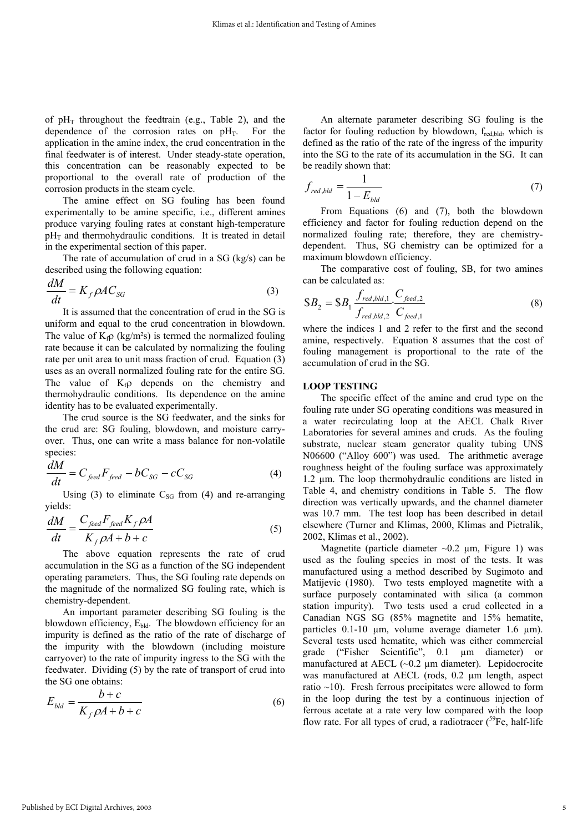of  $pH_T$  throughout the feedtrain (e.g., Table 2), and the dependence of the corrosion rates on  $pH_T$ . For the application in the amine index, the crud concentration in the final feedwater is of interest. Under steady-state operation, this concentration can be reasonably expected to be proportional to the overall rate of production of the corrosion products in the steam cycle.

The amine effect on SG fouling has been found experimentally to be amine specific, i.e., different amines produce varying fouling rates at constant high-temperature  $pH<sub>T</sub>$  and thermohydraulic conditions. It is treated in detail in the experimental section of this paper.

The rate of accumulation of crud in a SG (kg/s) can be described using the following equation:

$$
\frac{dM}{dt} = K_f \rho A C_{SG} \tag{3}
$$

It is assumed that the concentration of crud in the SG is uniform and equal to the crud concentration in blowdown. The value of  $K_f \rho$  (kg/m<sup>2</sup>s) is termed the normalized fouling rate because it can be calculated by normalizing the fouling rate per unit area to unit mass fraction of crud. Equation (3) uses as an overall normalized fouling rate for the entire SG. The value of  $K<sub>f</sub>$  depends on the chemistry and thermohydraulic conditions. Its dependence on the amine identity has to be evaluated experimentally.

The crud source is the SG feedwater, and the sinks for the crud are: SG fouling, blowdown, and moisture carryover. Thus, one can write a mass balance for non-volatile species:

$$
\frac{dM}{dt} = C_{\text{feed}} F_{\text{feed}} - bC_{SG} - cC_{SG}
$$
\n(4)

Using (3) to eliminate  $C_{SG}$  from (4) and re-arranging yields:

$$
\frac{dM}{dt} = \frac{C_{\text{feed}} F_{\text{feed}} K_f \rho A}{K_f \rho A + b + c}
$$
(5)

The above equation represents the rate of crud accumulation in the SG as a function of the SG independent operating parameters. Thus, the SG fouling rate depends on the magnitude of the normalized SG fouling rate, which is chemistry-dependent.

An important parameter describing SG fouling is the blowdown efficiency,  $E_{\text{bld}}$ . The blowdown efficiency for an impurity is defined as the ratio of the rate of discharge of the impurity with the blowdown (including moisture carryover) to the rate of impurity ingress to the SG with the feedwater. Dividing (5) by the rate of transport of crud into the SG one obtains:

$$
E_{\text{bld}} = \frac{b+c}{K_f \rho A + b+c} \tag{6}
$$

An alternate parameter describing SG fouling is the factor for fouling reduction by blowdown, fred,bld, which is defined as the ratio of the rate of the ingress of the impurity into the SG to the rate of its accumulation in the SG. It can be readily shown that:

$$
f_{red, bld} = \frac{1}{1 - E_{bld}}\tag{7}
$$

From Equations (6) and (7), both the blowdown efficiency and factor for fouling reduction depend on the normalized fouling rate; therefore, they are chemistrydependent. Thus, SG chemistry can be optimized for a maximum blowdown efficiency.

The comparative cost of fouling, \$B, for two amines can be calculated as:

$$
\$B_2 = \$B_1 \frac{f_{red, bld, 1}}{f_{red, bld, 2}} \cdot \frac{C_{feed, 2}}{C_{feed, 1}}
$$
\n(8)

where the indices 1 and 2 refer to the first and the second amine, respectively. Equation 8 assumes that the cost of fouling management is proportional to the rate of the accumulation of crud in the SG.

#### **LOOP TESTING**

The specific effect of the amine and crud type on the fouling rate under SG operating conditions was measured in a water recirculating loop at the AECL Chalk River Laboratories for several amines and cruds. As the fouling substrate, nuclear steam generator quality tubing UNS N06600 ("Alloy 600") was used. The arithmetic average roughness height of the fouling surface was approximately 1.2 µm. The loop thermohydraulic conditions are listed in Table 4, and chemistry conditions in Table 5. The flow direction was vertically upwards, and the channel diameter was 10.7 mm. The test loop has been described in detail elsewhere (Turner and Klimas, 2000, Klimas and Pietralik, 2002, Klimas et al., 2002).

Magnetite (particle diameter  $\sim 0.2$  µm, Figure 1) was used as the fouling species in most of the tests. It was manufactured using a method described by Sugimoto and Matijevic (1980). Two tests employed magnetite with a surface purposely contaminated with silica (a common station impurity). Two tests used a crud collected in a Canadian NGS SG (85% magnetite and 15% hematite, particles 0.1-10 µm, volume average diameter 1.6 µm). Several tests used hematite, which was either commercial grade ("Fisher Scientific", 0.1 µm diameter) or manufactured at AECL (~0.2 µm diameter). Lepidocrocite was manufactured at AECL (rods, 0.2 µm length, aspect ratio  $\sim$ 10). Fresh ferrous precipitates were allowed to form in the loop during the test by a continuous injection of ferrous acetate at a rate very low compared with the loop flow rate. For all types of crud, a radiotracer  $(^{59}Fe$ , half-life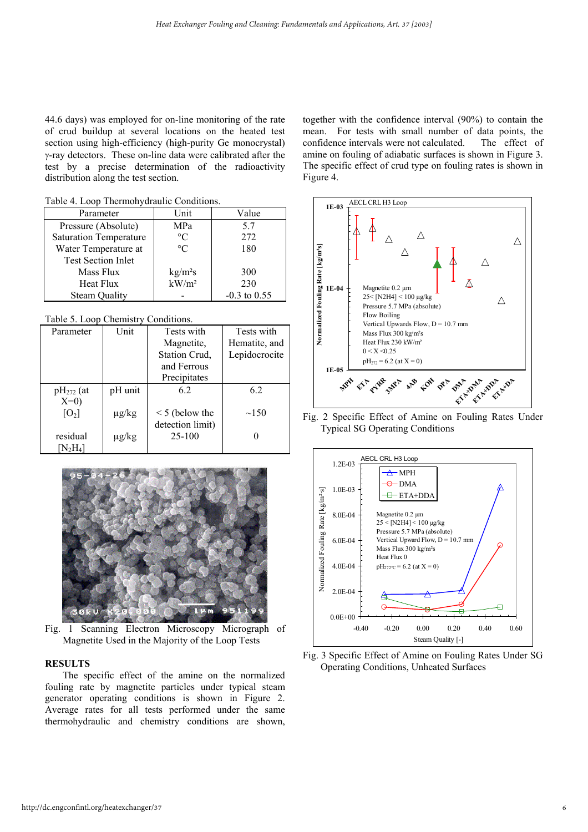44.6 days) was employed for on-line monitoring of the rate of crud buildup at several locations on the heated test section using high-efficiency (high-purity Ge monocrystal) γ-ray detectors. These on-line data were calibrated after the test by a precise determination of the radioactivity distribution along the test section.

Table 4. Loop Thermohydraulic Conditions.

| Parameter                     | Unit                | Value          |
|-------------------------------|---------------------|----------------|
|                               |                     |                |
| Pressure (Absolute)           | MPa                 | 5.7            |
| <b>Saturation Temperature</b> | $\rm ^{\circ}C$     | 272            |
| Water Temperature at          | $\circ$ C           | 180            |
| <b>Test Section Inlet</b>     |                     |                |
| Mass Flux                     | kg/m <sup>2</sup> s | 300            |
| Heat Flux                     | $kW/m^2$            | 230            |
| <b>Steam Quality</b>          |                     | $-0.3$ to 0.55 |

Table 5. Loop Chemistry Conditions.

| Parameter        | Unit       | Tests with          | Tests with    |
|------------------|------------|---------------------|---------------|
|                  |            | Magnetite,          | Hematite, and |
|                  |            | Station Crud,       | Lepidocrocite |
|                  |            | and Ferrous         |               |
|                  |            | Precipitates        |               |
| $pH_{272}$ (at   | pH unit    | 62                  | 6.2           |
| $X=0$            |            |                     |               |
| $[O_2]$          | $\mu$ g/kg | $\leq$ 5 (below the | $\sim$ 150    |
|                  |            | detection limit)    |               |
| residual         | $\mu$ g/kg | 25-100              |               |
| ${\rm [N_2H_4]}$ |            |                     |               |



Fig. 1 Scanning Electron Microscopy Micrograph of Magnetite Used in the Majority of the Loop Tests

#### **RESULTS**

The specific effect of the amine on the normalized fouling rate by magnetite particles under typical steam generator operating conditions is shown in Figure 2. Average rates for all tests performed under the same thermohydraulic and chemistry conditions are shown, together with the confidence interval (90%) to contain the mean. For tests with small number of data points, the confidence intervals were not calculated. The effect of amine on fouling of adiabatic surfaces is shown in Figure 3. The specific effect of crud type on fouling rates is shown in Figure 4.



Fig. 2 Specific Effect of Amine on Fouling Rates Under Typical SG Operating Conditions



Fig. 3 Specific Effect of Amine on Fouling Rates Under SG Operating Conditions, Unheated Surfaces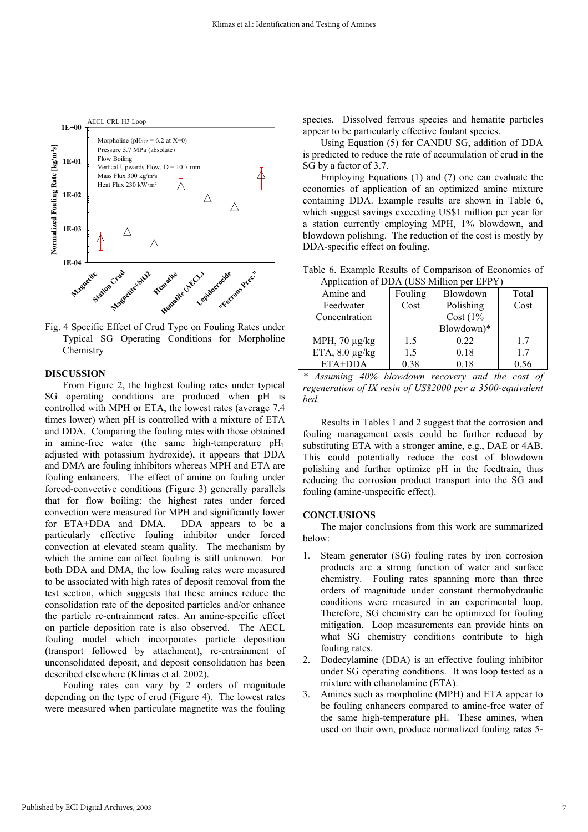

Fig. 4 Specific Effect of Crud Type on Fouling Rates under Typical SG Operating Conditions for Morpholine **Chemistry** 

#### **DISCUSSION**

From Figure 2, the highest fouling rates under typical SG operating conditions are produced when pH is controlled with MPH or ETA, the lowest rates (average 7.4 times lower) when pH is controlled with a mixture of ETA and DDA. Comparing the fouling rates with those obtained in amine-free water (the same high-temperature  $pH_T$ adjusted with potassium hydroxide), it appears that DDA and DMA are fouling inhibitors whereas MPH and ETA are fouling enhancers. The effect of amine on fouling under forced-convective conditions (Figure 3) generally parallels that for flow boiling: the highest rates under forced convection were measured for MPH and significantly lower for ETA+DDA and DMA. DDA appears to be a particularly effective fouling inhibitor under forced convection at elevated steam quality. The mechanism by which the amine can affect fouling is still unknown. For both DDA and DMA, the low fouling rates were measured to be associated with high rates of deposit removal from the test section, which suggests that these amines reduce the consolidation rate of the deposited particles and/or enhance the particle re-entrainment rates. An amine-specific effect on particle deposition rate is also observed. The AECL fouling model which incorporates particle deposition (transport followed by attachment), re-entrainment of unconsolidated deposit, and deposit consolidation has been described elsewhere (Klimas et al. 2002).

Fouling rates can vary by 2 orders of magnitude depending on the type of crud (Figure 4). The lowest rates were measured when particulate magnetite was the fouling species. Dissolved ferrous species and hematite particles appear to be particularly effective foulant species.

Using Equation (5) for CANDU SG, addition of DDA is predicted to reduce the rate of accumulation of crud in the SG by a factor of 3.7.

Employing Equations (1) and (7) one can evaluate the economics of application of an optimized amine mixture containing DDA. Example results are shown in Table 6, which suggest savings exceeding US\$1 million per year for a station currently employing MPH, 1% blowdown, and blowdown polishing. The reduction of the cost is mostly by DDA-specific effect on fouling.

Table 6. Example Results of Comparison of Economics of Application of DDA (US\$ Million per EFPY)

| Amine and           | Fouling | Blowdown    | Total |
|---------------------|---------|-------------|-------|
| Feedwater           | Cost    | Polishing   | Cost  |
| Concentration       |         | Cost $(1\%$ |       |
|                     |         | Blowdown)*  |       |
| MPH, $70 \mu g/kg$  | 1.5     | 0.22        | 17    |
| ETA, $8.0 \mu g/kg$ | 1.5     | 0.18        | 17    |
| $ETA+DDA$           | 0.38    | 0.18        | 0.56  |

*\* Assuming 40% blowdown recovery and the cost of regeneration of IX resin of US\$2000 per a 3500-equivalent bed.*

Results in Tables 1 and 2 suggest that the corrosion and fouling management costs could be further reduced by substituting ETA with a stronger amine, e.g., DAE or 4AB. This could potentially reduce the cost of blowdown polishing and further optimize pH in the feedtrain, thus reducing the corrosion product transport into the SG and fouling (amine-unspecific effect).

#### **CONCLUSIONS**

The major conclusions from this work are summarized below:

- 1. Steam generator (SG) fouling rates by iron corrosion products are a strong function of water and surface chemistry. Fouling rates spanning more than three orders of magnitude under constant thermohydraulic conditions were measured in an experimental loop. Therefore, SG chemistry can be optimized for fouling mitigation. Loop measurements can provide hints on what SG chemistry conditions contribute to high fouling rates.
- 2. Dodecylamine (DDA) is an effective fouling inhibitor under SG operating conditions. It was loop tested as a mixture with ethanolamine (ETA).
- 3. Amines such as morpholine (MPH) and ETA appear to be fouling enhancers compared to amine-free water of the same high-temperature pH. These amines, when used on their own, produce normalized fouling rates 5-